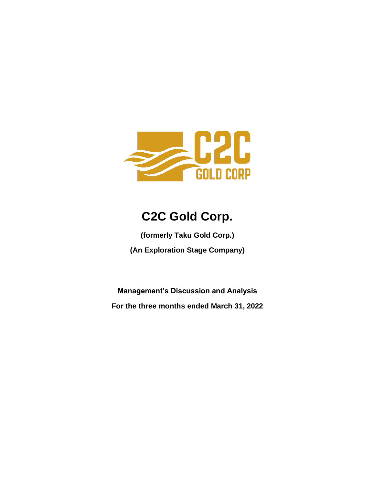

# **C2C Gold Corp.**

**(formerly Taku Gold Corp.) (An Exploration Stage Company)**

**Management's Discussion and Analysis For the three months ended March 31, 2022**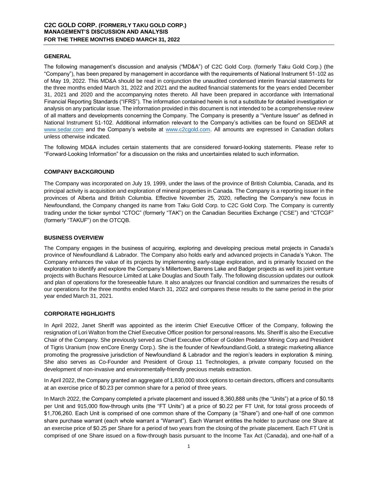## **GENERAL**

The following management's discussion and analysis ("MD&A") of C2C Gold Corp. (formerly Taku Gold Corp.) (the "Company"), has been prepared by management in accordance with the requirements of National Instrument 51-102 as of May 19, 2022. This MD&A should be read in conjunction the unaudited condensed interim financial statements for the three months ended March 31, 2022 and 2021 and the audited financial statements for the years ended December 31, 2021 and 2020 and the accompanying notes thereto. All have been prepared in accordance with International Financial Reporting Standards ("IFRS"). The information contained herein is not a substitute for detailed investigation or analysis on any particular issue. The information provided in this document is not intended to be a comprehensive review of all matters and developments concerning the Company. The Company is presently a "Venture Issuer" as defined in National Instrument 51-102. Additional information relevant to the Company's activities can be found on SEDAR at [www.sedar.com](http://www.sedar.com/) and the Company's website at [www.c2cgold.com.](http://www.c2cgold.com/) All amounts are expressed in Canadian dollars unless otherwise indicated.

The following MD&A includes certain statements that are considered forward-looking statements. Please refer to "Forward-Looking Information" for a discussion on the risks and uncertainties related to such information.

## **COMPANY BACKGROUND**

The Company was incorporated on July 19, 1999, under the laws of the province of British Columbia, Canada, and its principal activity is acquisition and exploration of mineral properties in Canada. The Company is a reporting issuer in the provinces of Alberta and British Columbia. Effective November 25, 2020, reflecting the Company's new focus in Newfoundland, the Company changed its name from Taku Gold Corp. to C2C Gold Corp. The Company is currently trading under the ticker symbol "CTOC" (formerly "TAK") on the Canadian Securities Exchange ("CSE") and "CTCGF" (formerly "TAKUF") on the OTCQB.

# **BUSINESS OVERVIEW**

The Company engages in the business of acquiring, exploring and developing precious metal projects in Canada's province of Newfoundland & Labrador. The Company also holds early and advanced projects in Canada's Yukon. The Company enhances the value of its projects by implementing early-stage exploration, and is primarily focused on the exploration to identify and explore the Company's Millertown, Barrens Lake and Badger projects as well its joint venture projects with Buchans Resource Limited at Lake Douglas and South Tally. The following discussion updates our outlook and plan of operations for the foreseeable future. It also analyzes our financial condition and summarizes the results of our operations for the three months ended March 31, 2022 and compares these results to the same period in the prior year ended March 31, 2021.

## **CORPORATE HIGHLIGHTS**

In April 2022, Janet Sheriff was appointed as the interim Chief Executive Officer of the Company, following the resignation of Lori Walton from the Chief Executive Officer position for personal reasons. Ms. Sheriff is also the Executive Chair of the Company. She previously served as Chief Executive Officer of Golden Predator Mining Corp and President of Tigris Uranium (now enCore Energy Corp.). She is the founder of Newfoundland.Gold, a strategic marketing alliance promoting the progressive jurisdiction of Newfoundland & Labrador and the region's leaders in exploration & mining. She also serves as Co-Founder and President of Group 11 Technologies, a private company focused on the development of non-invasive and environmentally-friendly precious metals extraction.

In April 2022, the Company granted an aggregate of 1,830,000 stock options to certain directors, officers and consultants at an exercise price of \$0.23 per common share for a period of three years.

In March 2022, the Company completed a private placement and issued 8,360,888 units (the "Units") at a price of \$0.18 per Unit and 915,000 flow-through units (the "FT Units") at a price of \$0.22 per FT Unit, for total gross proceeds of \$1,706,260. Each Unit is comprised of one common share of the Company (a "Share") and one-half of one common share purchase warrant (each whole warrant a "Warrant"). Each Warrant entitles the holder to purchase one Share at an exercise price of \$0.25 per Share for a period of two years from the closing of the private placement. Each FT Unit is comprised of one Share issued on a flow-through basis pursuant to the Income Tax Act (Canada), and one-half of a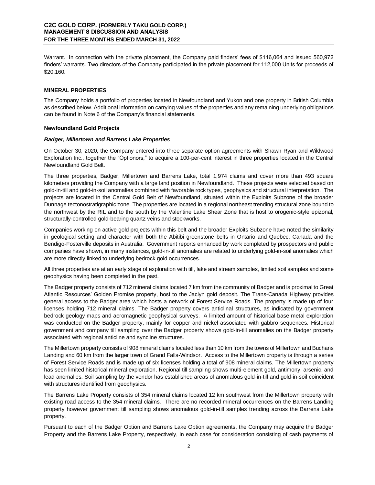Warrant. In connection with the private placement, the Company paid finders' fees of \$116,064 and issued 560,972 finders' warrants. Two directors of the Company participated in the private placement for 112,000 Units for proceeds of \$20,160.

# **MINERAL PROPERTIES**

The Company holds a portfolio of properties located in Newfoundland and Yukon and one property in British Columbia as described below. Additional information on carrying values of the properties and any remaining underlying obligations can be found in Note 6 of the Company's financial statements.

## **Newfoundland Gold Projects**

## *Badger, Millertown and Barrens Lake Properties*

On October 30, 2020, the Company entered into three separate option agreements with Shawn Ryan and Wildwood Exploration Inc., together the "Optionors," to acquire a 100-per-cent interest in three properties located in the Central Newfoundland Gold Belt.

The three properties, Badger, Millertown and Barrens Lake, total 1,974 claims and cover more than 493 square kilometers providing the Company with a large land position in Newfoundland. These projects were selected based on gold-in-till and gold-in-soil anomalies combined with favorable rock types, geophysics and structural interpretation. The projects are located in the Central Gold Belt of Newfoundland, situated within the Exploits Subzone of the broader Dunnage tectonostratigraphic zone. The properties are located in a regional northeast trending structural zone bound to the northwest by the RIL and to the south by the Valentine Lake Shear Zone that is host to orogenic-style epizonal, structurally-controlled gold-bearing quartz veins and stockworks.

Companies working on active gold projects within this belt and the broader Exploits Subzone have noted the similarity in geological setting and character with both the Abitibi greenstone belts in Ontario and Quebec, Canada and the Bendigo-Fosterville deposits in Australia. Government reports enhanced by work completed by prospectors and public companies have shown, in many instances, gold-in-till anomalies are related to underlying gold-in-soil anomalies which are more directly linked to underlying bedrock gold occurrences.

All three properties are at an early stage of exploration with till, lake and stream samples, limited soil samples and some geophysics having been completed in the past.

The Badger property consists of 712 mineral claims located 7 km from the community of Badger and is proximal to Great Atlantic Resources' Golden Promise property, host to the Jaclyn gold deposit. The Trans-Canada Highway provides general access to the Badger area which hosts a network of Forest Service Roads. The property is made up of four licenses holding 712 mineral claims. The Badger property covers anticlinal structures, as indicated by government bedrock geology maps and aeromagnetic geophysical surveys. A limited amount of historical base metal exploration was conducted on the Badger property, mainly for copper and nickel associated with gabbro sequences. Historical government and company till sampling over the Badger property shows gold-in-till anomalies on the Badger property associated with regional anticline and syncline structures.

The Millertown property consists of 908 mineral claims located less than 10 km from the towns of Millertown and Buchans Landing and 60 km from the larger town of Grand Falls-Windsor. Access to the Millertown property is through a series of Forest Service Roads and is made up of six licenses holding a total of 908 mineral claims. The Millertown property has seen limited historical mineral exploration. Regional till sampling shows multi-element gold, antimony, arsenic, and lead anomalies. Soil sampling by the vendor has established areas of anomalous gold-in-till and gold-in-soil coincident with structures identified from geophysics.

The Barrens Lake Property consists of 354 mineral claims located 12 km southwest from the Millertown property with existing road access to the 354 mineral claims. There are no recorded mineral occurrences on the Barrens Landing property however government till sampling shows anomalous gold-in-till samples trending across the Barrens Lake property.

Pursuant to each of the Badger Option and Barrens Lake Option agreements, the Company may acquire the Badger Property and the Barrens Lake Property, respectively, in each case for consideration consisting of cash payments of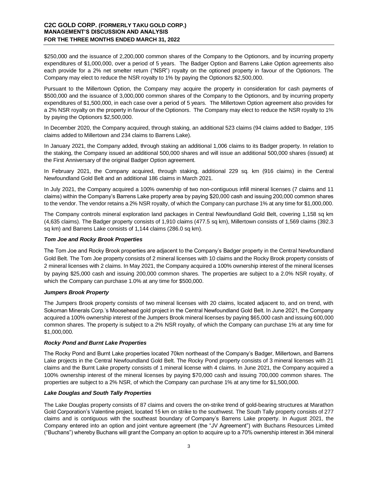\$250,000 and the issuance of 2,200,000 common shares of the Company to the Optionors, and by incurring property expenditures of \$1,000,000, over a period of 5 years. The Badger Option and Barrens Lake Option agreements also each provide for a 2% net smelter return ("NSR") royalty on the optioned property in favour of the Optionors. The Company may elect to reduce the NSR royalty to 1% by paying the Optionors \$2,500,000.

Pursuant to the Millertown Option, the Company may acquire the property in consideration for cash payments of \$500,000 and the issuance of 3,000,000 common shares of the Company to the Optionors, and by incurring property expenditures of \$1,500,000, in each case over a period of 5 years. The Millertown Option agreement also provides for a 2% NSR royalty on the property in favour of the Optionors. The Company may elect to reduce the NSR royalty to 1% by paying the Optionors \$2,500,000.

In December 2020, the Company acquired, through staking, an additional 523 claims (94 claims added to Badger, 195 claims added to Millertown and 234 claims to Barrens Lake).

In January 2021, the Company added, through staking an additional 1,006 claims to its Badger property. In relation to the staking, the Company issued an additional 500,000 shares and will issue an additional 500,000 shares (issued) at the First Anniversary of the original Badger Option agreement.

In February 2021, the Company acquired, through staking, additional 229 sq. km (916 claims) in the Central Newfoundland Gold Belt and an additional 186 claims in March 2021.

In July 2021, the Company acquired a 100% ownership of two non-contiguous infill mineral licenses (7 claims and 11 claims) within the Company's Barrens Lake property area by paying \$20,000 cash and issuing 200,000 common shares to the vendor. The vendor retains a 2% NSR royalty, of which the Company can purchase 1% at any time for \$1,000,000.

The Company controls mineral exploration land packages in Central Newfoundland Gold Belt, covering 1,158 sq km (4,635 claims). The Badger property consists of 1,910 claims (477.5 sq km), Millertown consists of 1,569 claims (392.3 sq km) and Barrens Lake consists of 1,144 claims (286.0 sq km).

## *Tom Joe and Rocky Brook Properties*

The Tom Joe and Rocky Brook properties are adjacent to the Company's Badger property in the Central Newfoundland Gold Belt. The Tom Joe property consists of 2 mineral licenses with 10 claims and the Rocky Brook property consists of 2 mineral licenses with 2 claims. In May 2021, the Company acquired a 100% ownership interest of the mineral licenses by paying \$25,000 cash and issuing 200,000 common shares. The properties are subject to a 2.0% NSR royalty, of which the Company can purchase 1.0% at any time for \$500,000.

## *Jumpers Brook Property*

The Jumpers Brook property consists of two mineral licenses with 20 claims, located adjacent to, and on trend, with Sokoman Minerals Corp.'s Moosehead gold project in the Central Newfoundland Gold Belt. In June 2021, the Company acquired a 100% ownership interest of the Jumpers Brook mineral licenses by paying \$65,000 cash and issuing 600,000 common shares. The property is subject to a 2% NSR royalty, of which the Company can purchase 1% at any time for \$1,000,000.

# *Rocky Pond and Burnt Lake Properties*

The Rocky Pond and Burnt Lake properties located 70km northeast of the Company's Badger, Millertown, and Barrens Lake projects in the Central Newfoundland Gold Belt. The Rocky Pond property consists of 3 mineral licenses with 21 claims and the Burnt Lake property consists of 1 mineral license with 4 claims. In June 2021, the Company acquired a 100% ownership interest of the mineral licenses by paying \$70,000 cash and issuing 700,000 common shares. The properties are subject to a 2% NSR, of which the Company can purchase 1% at any time for \$1,500,000.

## *Lake Douglas and South Tally Properties*

The Lake Douglas property consists of 87 claims and covers the on-strike trend of gold-bearing structures at Marathon Gold Corporation's Valentine project, located 15 km on strike to the southwest. The South Tally property consists of 277 claims and is contiguous with the southeast boundary of Company's Barrens Lake property. In August 2021, the Company entered into an option and joint venture agreement (the "JV Agreement") with Buchans Resources Limited ("Buchans") whereby Buchans will grant the Company an option to acquire up to a 70% ownership interest in 364 mineral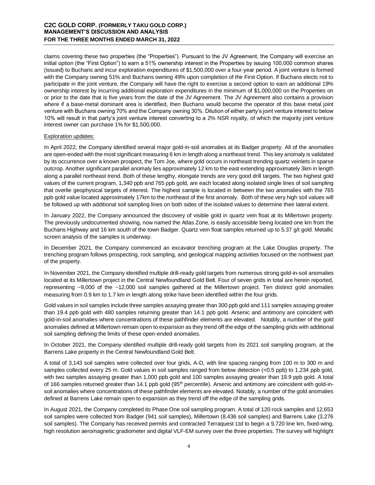claims covering these two properties (the "Properties"). Pursuant to the JV Agreement, the Company will exercise an initial option (the "First Option") to earn a 51% ownership interest in the Properties by issuing 100,000 common shares (issued) to Buchans and incur exploration expenditures of \$1,500,000 over a four-year period. A joint venture is formed with the Company owning 51% and Buchans owning 49% upon completion of the First Option. If Buchans elects not to participate in the joint venture, the Company will have the right to exercise a second option to earn an additional 19% ownership interest by incurring additional exploration expenditures in the minimum of \$1,000,000 on the Properties on or prior to the date that is five years from the date of the JV Agreement. The JV Agreement also contains a provision where if a base-metal dominant area is identified, then Buchans would become the operator of this base metal joint venture with Buchans owning 70% and the Company owning 30%. Dilution of either party's joint venture interest to below 10% will result in that party's joint venture interest converting to a 2% NSR royalty, of which the majority joint venture interest owner can purchase 1% for \$1,500,000.

#### Exploration updates:

In April 2022, the Company identified several major gold-in-soil anomalies at its Badger property. All of the anomalies are open-ended with the most significant measuring 6 km in length along a northeast trend. This key anomaly is validated by its occurrence over a known prospect, the Tom Joe, where gold occurs in northeast trending quartz veinlets in sparse outcrop. Another significant parallel anomaly lies approximately 12 km to the east extending approximately 3km in length along a parallel northeast trend. Both of these lengthy, elongate trends are very good drill targets. The two highest gold values of the current program, 1,340 ppb and 765 ppb gold, are each located along isolated single lines of soil sampling that overlie geophysical targets of interest. The highest sample is located in between the two anomalies with the 765 ppb gold value located approximately 17km to the northeast of the first anomaly. Both of these very high soil values will be followed up with additional soil sampling lines on both sides of the isolated values to determine their lateral extent.

In January 2022, the Company announced the discovery of visible gold in quartz vein float at its Millertown property. The previously undocumented showing, now named the Atlas Zone, is easily accessible being located one km from the Buchans Highway and 16 km south of the town Badger. Quartz vein float samples returned up to 5.37 g/t gold. Metallic screen analysis of the samples is underway.

In December 2021, the Company commenced an excavator trenching program at the Lake Douglas property. The trenching program follows prospecting, rock sampling, and geological mapping activities focused on the northwest part of the property.

In November 2021, the Company identified multiple drill-ready gold targets from numerous strong gold-in-soil anomalies located at its Millertown project in the Central Newfoundland Gold Belt. Four of seven grids in total are herein reported, representing ~9,000 of the ~12,000 soil samples gathered at the Millertown project. Ten distinct gold anomalies measuring from 0.9 km to 1.7 km in length along strike have been identified within the four grids.

Gold values in soil samples include three samples assaying greater than 300 ppb gold and 111 samples assaying greater than 19.4 ppb gold with 480 samples returning greater than 14.1 ppb gold. Arsenic and antimony are coincident with gold-in-soil anomalies where concentrations of these pathfinder elements are elevated. Notably, a number of the gold anomalies defined at Millertown remain open to expansion as they trend off the edge of the sampling grids with additional soil sampling defining the limits of these open-ended anomalies.

In October 2021, the Company identified multiple drill-ready gold targets from its 2021 soil sampling program, at the Barrens Lake property in the Central Newfoundland Gold Belt.

A total of 3,143 soil samples were collected over four grids, A-D, with line spacing ranging from 100 m to 300 m and samples collected every 25 m. Gold values in soil samples ranged from below detection (<0.5 ppb) to 1,234 ppb gold, with two samples assaying greater than 1,000 ppb gold and 100 samples assaying greater than 19.9 ppb gold. A total of 166 samples returned greater than 14.1 ppb gold ( $95<sup>th</sup>$  percentile). Arsenic and antimony are coincident with gold-insoil anomalies where concentrations of these pathfinder elements are elevated. Notably, a number of the gold anomalies defined at Barrens Lake remain open to expansion as they trend off the edge of the sampling grids.

In August 2021, the Company completed its Phase One soil sampling program. A total of 120 rock samples and 12,653 soil samples were collected from Badger (941 soil samples), Millertown (8,436 soil samples) and Barrens Lake (3,276 soil samples). The Company has received permits and contracted Terraquest Ltd to begin a 9,720 line km, fixed-wing, high resolution aeromagnetic gradiometer and digital VLF-EM survey over the three properties. The survey will highlight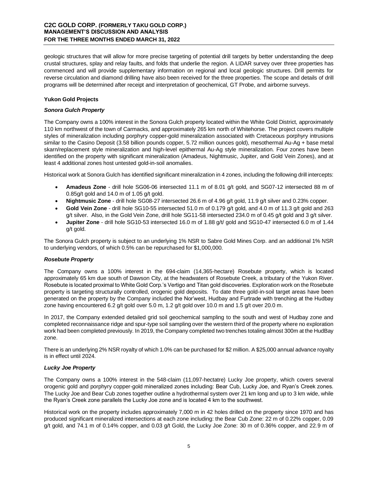geologic structures that will allow for more precise targeting of potential drill targets by better understanding the deep crustal structures, splay and relay faults, and folds that underlie the region. A LIDAR survey over three properties has commenced and will provide supplementary information on regional and local geologic structures. Drill permits for reverse circulation and diamond drilling have also been received for the three properties. The scope and details of drill programs will be determined after receipt and interpretation of geochemical, GT Probe, and airborne surveys.

# **Yukon Gold Projects**

## *Sonora Gulch Property*

The Company owns a 100% interest in the Sonora Gulch property located within the White Gold District, approximately 110 km northwest of the town of Carmacks, and approximately 265 km north of Whitehorse. The project covers multiple styles of mineralization including porphyry copper-gold mineralization associated with Cretaceous porphyry intrusions similar to the Casino Deposit (3.58 billion pounds copper, 5.72 million ounces gold), mesothermal Au-Ag + base metal skarn/replacement style mineralization and high-level epithermal Au-Ag style mineralization. Four zones have been identified on the property with significant mineralization (Amadeus, Nightmusic, Jupiter, and Gold Vein Zones), and at least 4 additional zones host untested gold-in-soil anomalies.

Historical work at Sonora Gulch has identified significant mineralization in 4 zones, including the following drill intercepts:

- **Amadeus Zone** drill hole SG06-06 intersected 11.1 m of 8.01 g/t gold, and SG07-12 intersected 88 m of 0.85g/t gold and 14.0 m of 1.05 g/t gold.
- **Nightmusic Zone** drill hole SG08-27 intersected 26.6 m of 4.96 g/t gold, 11.9 g/t silver and 0.23% copper.
- **Gold Vein Zone** drill hole SG10-55 intersected 51.0 m of 0.179 g/t gold, and 4.0 m of 11.3 g/t gold and 263 g/t silver. Also, in the Gold Vein Zone, drill hole SG11-58 intersected 234.0 m of 0.45 g/t gold and 3 g/t silver.
- **Jupiter Zone** drill hole SG10-53 intersected 16.0 m of 1.88 g/t/ gold and SG10-47 intersected 6.0 m of 1.44 g/t gold.

The Sonora Gulch property is subject to an underlying 1% NSR to Sabre Gold Mines Corp. and an additional 1% NSR to underlying vendors, of which 0.5% can be repurchased for \$1,000,000.

# *Rosebute Property*

The Company owns a 100% interest in the 694-claim (14,365-hectare) Rosebute property, which is located approximately 65 km due south of Dawson City, at the headwaters of Rosebute Creek, a tributary of the Yukon River. Rosebute is located proximal to White Gold Corp.'s Vertigo and Titan gold discoveries. Exploration work on the Rosebute property is targeting structurally controlled, orogenic gold deposits. To date three gold-in-soil target areas have been generated on the property by the Company included the Nor'west, Hudbay and Furtrade with trenching at the Hudbay zone having encountered 6.2 g/t gold over 5.0 m, 1.2 g/t gold over 10.0 m and 1.5 g/t over 20.0 m.

In 2017, the Company extended detailed grid soil geochemical sampling to the south and west of Hudbay zone and completed reconnaissance ridge and spur-type soil sampling over the western third of the property where no exploration work had been completed previously. In 2019, the Company completed two trenches totaling almost 300m at the HudBay zone.

There is an underlying 2% NSR royalty of which 1.0% can be purchased for \$2 million. A \$25,000 annual advance royalty is in effect until 2024.

# *Lucky Joe Property*

The Company owns a 100% interest in the 548-claim (11,097-hectatre) Lucky Joe property, which covers several orogenic gold and porphyry copper-gold mineralized zones including: Bear Cub, Lucky Joe, and Ryan's Creek zones. The Lucky Joe and Bear Cub zones together outline a hydrothermal system over 21 km long and up to 3 km wide, while the Ryan's Creek zone parallels the Lucky Joe zone and is located 4 km to the southwest.

Historical work on the property includes approximately 7,000 m in 42 holes drilled on the property since 1970 and has produced significant mineralized intersections at each zone including: the Bear Cub Zone: 22 m of 0.22% copper, 0.09 g/t gold, and 74.1 m of 0.14% copper, and 0.03 g/t Gold, the Lucky Joe Zone: 30 m of 0.36% copper, and 22.9 m of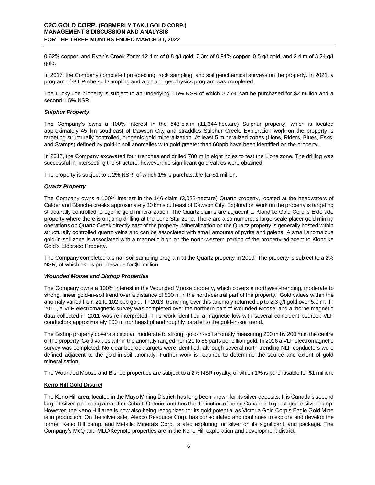0.62% copper, and Ryan's Creek Zone: 12.1 m of 0.8 g/t gold, 7.3m of 0.91% copper, 0.5 g/t gold, and 2.4 m of 3.24 g/t gold.

In 2017, the Company completed prospecting, rock sampling, and soil geochemical surveys on the property. In 2021, a program of GT Probe soil sampling and a ground geophysics program was completed.

The Lucky Joe property is subject to an underlying 1.5% NSR of which 0.75% can be purchased for \$2 million and a second 1.5% NSR.

#### *Sulphur Property*

The Company's owns a 100% interest in the 543-claim (11,344-hectare) Sulphur property, which is located approximately 45 km southeast of Dawson City and straddles Sulphur Creek. Exploration work on the property is targeting structurally controlled, orogenic gold mineralization. At least 5 mineralized zones (Lions, Riders, Blues, Esks, and Stamps) defined by gold-in soil anomalies with gold greater than 60ppb have been identified on the property.

In 2017, the Company excavated four trenches and drilled 780 m in eight holes to test the Lions zone. The drilling was successful in intersecting the structure; however, no significant gold values were obtained.

The property is subject to a 2% NSR, of which 1% is purchasable for \$1 million.

## *Quartz Property*

The Company owns a 100% interest in the 146-claim (3,022-hectare) Quartz property, located at the headwaters of Calder and Blanche creeks approximately 30 km southeast of Dawson City. Exploration work on the property is targeting structurally controlled, orogenic gold mineralization. The Quartz claims are adjacent to Klondike Gold Corp.'s Eldorado property where there is ongoing drilling at the Lone Star zone. There are also numerous large-scale placer gold mining operations on Quartz Creek directly east of the property. Mineralization on the Quartz property is generally hosted within structurally controlled quartz veins and can be associated with small amounts of pyrite and galena. A small anomalous gold-in-soil zone is associated with a magnetic high on the north-western portion of the property adjacent to Klondike Gold's Eldorado Property.

The Company completed a small soil sampling program at the Quartz property in 2019. The property is subject to a 2% NSR, of which 1% is purchasable for \$1 million.

#### *Wounded Moose and Bishop Properties*

The Company owns a 100% interest in the Wounded Moose property, which covers a northwest-trending, moderate to strong, linear gold-in-soil trend over a distance of 500 m in the north-central part of the property. Gold values within the anomaly varied from 21 to 102 ppb gold. In 2013, trenching over this anomaly returned up to 2.3 g/t gold over 5.0 m. In 2016, a VLF electromagnetic survey was completed over the northern part of Wounded Moose, and airborne magnetic data collected in 2011 was re-interpreted. This work identified a magnetic low with several coincident bedrock VLF conductors approximately 200 m northeast of and roughly parallel to the gold-in-soil trend.

The Bishop property covers a circular, moderate to strong, gold-in-soil anomaly measuring 200 m by 200 m in the centre of the property. Gold values within the anomaly ranged from 21 to 86 parts per billion gold. In 2016 a VLF electromagnetic survey was completed. No clear bedrock targets were identified, although several north-trending NLF conductors were defined adjacent to the gold-in-soil anomaly. Further work is required to determine the source and extent of gold mineralization.

The Wounded Moose and Bishop properties are subject to a 2% NSR royalty, of which 1% is purchasable for \$1 million.

## **Keno Hill Gold District**

The Keno Hill area, located in the Mayo Mining District, has long been known for its silver deposits. It is Canada's second largest silver producing area after Cobalt, Ontario, and has the distinction of being Canada's highest-grade silver camp. However, the Keno Hill area is now also being recognized for its gold potential as Victoria Gold Corp's Eagle Gold Mine is in production. On the silver side, Alexco Resource Corp. has consolidated and continues to explore and develop the former Keno Hill camp, and Metallic Minerals Corp. is also exploring for silver on its significant land package. The Company's McQ and MLC/Keynote properties are in the Keno Hill exploration and development district.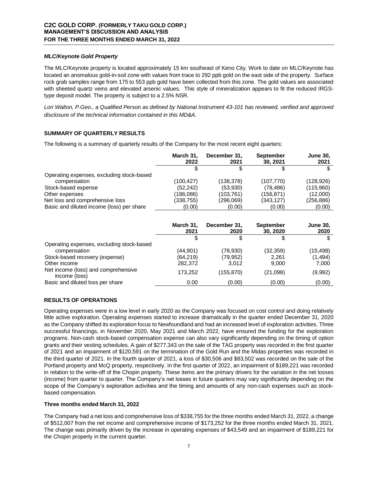## *MLC/Keynote Gold Property*

The MLC/Keynote property is located approximately 15 km southeast of Keno City. Work to date on MLC/Keynote has located an anomalous gold-in-soil zone with values from trace to 292 ppb gold on the east side of the property. Surface rock grab samples range from 175 to 553 ppb gold have been collected from this zone. The gold values are associated with sheeted quartz veins and elevated arsenic values. This style of mineralization appears to fit the reduced IRGStype deposit model. The property is subject to a 2.5% NSR.

Lori Walton, P.Geo., a Qualified Person as defined by National Instrument 43-101 has reviewed, verified and approved *disclosure of the technical information contained in this MD&A.*

# **SUMMARY OF QUARTERLY RESULTS**

The following is a summary of quarterly results of the Company for the most recent eight quarters:

|                                           | March 31,<br>2022 | December 31.<br>2021 | <b>September</b><br>30.2021 | <b>June 30,</b><br>2021 |
|-------------------------------------------|-------------------|----------------------|-----------------------------|-------------------------|
|                                           |                   |                      |                             |                         |
| Operating expenses, excluding stock-based |                   |                      |                             |                         |
| compensation                              | (100, 427)        | (138,378)            | (107, 770)                  | (128, 926)              |
| Stock-based expense                       | (52, 242)         | (53,930)             | (78, 486)                   | (115,960)               |
| Other expenses                            | (186,086)         | (103,761)            | (156,871)                   | (12,000)                |
| Net loss and comprehensive loss           | (338,755)         | (296,069)            | (343,127)                   | (256,886)               |
| Basic and diluted income (loss) per share | (0.00)            | (0.00)               | (0.00)                      | (0.00)                  |

|                                                      | March 31,<br>2021 | December 31,<br>2020 | <b>September</b><br>30, 2020 | <b>June 30,</b><br>2020 |
|------------------------------------------------------|-------------------|----------------------|------------------------------|-------------------------|
|                                                      |                   | ъ                    | S                            | \$                      |
| Operating expenses, excluding stock-based            |                   |                      |                              |                         |
| compensation                                         | (44,901)          | (78,930)             | (32, 359)                    | (15, 498)               |
| Stock-based recovery (expense)                       | (64,219)          | (79,952)             | 2.261                        | (1, 494)                |
| Other income                                         | 282.372           | 3.012                | 9.000                        | 7,000                   |
| Net income (loss) and comprehensive<br>income (loss) | 173.252           | (155, 870)           | (21,098)                     | (9,992)                 |
| Basic and diluted loss per share                     | 0.00              | (0.00)               | (0.00)                       | (0.00)                  |

## **RESULTS OF OPERATIONS**

Operating expenses were in a low level in early 2020 as the Company was focused on cost control and doing relatively little active exploration. Operating expenses started to increase dramatically in the quarter ended December 31, 2020 as the Company shifted its exploration focus to Newfoundland and had an increased level of exploration activities. Three successful financings, in November 2020, May 2021 and March 2022, have ensured the funding for the exploration programs. Non-cash stock-based compensation expense can also vary significantly depending on the timing of option grants and their vesting schedules. A gain of \$277,343 on the sale of the TAG property was recorded in the first quarter of 2021 and an impairment of \$120,591 on the termination of the Gold Run and the Midas properties was recorded in the third quarter of 2021. In the fourth quarter of 2021, a loss of \$30,506 and \$83,502 was recorded on the sale of the Portland property and McQ property, respectively. In the first quarter of 2022, an impairment of \$189,221 was recorded in relation to the write-off of the Chopin property. These items are the primary drivers for the variation in the net losses (income) from quarter to quarter. The Company's net losses in future quarters may vary significantly depending on the scope of the Company's exploration activities and the timing and amounts of any non-cash expenses such as stockbased compensation.

# **Three months ended March 31, 2022**

The Company had a net loss and comprehensive loss of \$338,755 for the three months ended March 31, 2022, a change of \$512,007 from the net income and comprehensive income of \$173,252 for the three months ended March 31, 2021. The change was primarily driven by the increase in operating expenses of \$43,549 and an impairment of \$189,221 for the Chopin property in the current quarter.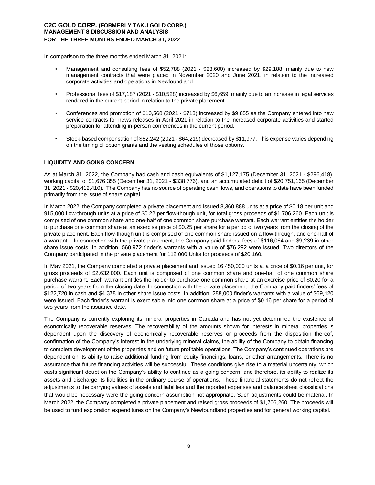In comparison to the three months ended March 31, 2021:

- Management and consulting fees of \$52,788 (2021 \$23,600) increased by \$29,188, mainly due to new management contracts that were placed in November 2020 and June 2021, in relation to the increased corporate activities and operations in Newfoundland.
- Professional fees of \$17,187 (2021 \$10,528) increased by \$6,659, mainly due to an increase in legal services rendered in the current period in relation to the private placement.
- Conferences and promotion of \$10,568 (2021 \$713) increased by \$9,855 as the Company entered into new service contracts for news releases in April 2021 in relation to the increased corporate activities and started preparation for attending in-person conferences in the current period.
- Stock-based compensation of \$52,242 (2021 \$64,219) decreased by \$11,977. This expense varies depending on the timing of option grants and the vesting schedules of those options.

# **LIQUIDITY AND GOING CONCERN**

As at March 31, 2022, the Company had cash and cash equivalents of \$1,127,175 (December 31, 2021 - \$296,418), working capital of \$1,676,355 (December 31, 2021 - \$338,776), and an accumulated deficit of \$20,751,165 (December 31, 2021 - \$20,412,410). The Company has no source of operating cash flows, and operations to date have been funded primarily from the issue of share capital.

In March 2022, the Company completed a private placement and issued 8,360,888 units at a price of \$0.18 per unit and 915,000 flow-through units at a price of \$0.22 per flow-though unit, for total gross proceeds of \$1,706,260. Each unit is comprised of one common share and one-half of one common share purchase warrant. Each warrant entitles the holder to purchase one common share at an exercise price of \$0.25 per share for a period of two years from the closing of the private placement. Each flow-though unit is comprised of one common share issued on a flow-through, and one-half of a warrant. In connection with the private placement, the Company paid finders' fees of \$116,064 and \$9,239 in other share issue costs. In addition, 560,972 finder's warrants with a value of \$76,292 were issued. Two directors of the Company participated in the private placement for 112,000 Units for proceeds of \$20,160.

In May 2021, the Company completed a private placement and issued 16,450,000 units at a price of \$0.16 per unit, for gross proceeds of \$2,632,000. Each unit is comprised of one common share and one-half of one common share purchase warrant. Each warrant entitles the holder to purchase one common share at an exercise price of \$0.20 for a period of two years from the closing date. In connection with the private placement, the Company paid finders' fees of \$122,720 in cash and \$4,378 in other share issue costs. In addition, 288,000 finder's warrants with a value of \$69,120 were issued. Each finder's warrant is exercisable into one common share at a price of \$0.16 per share for a period of two years from the issuance date.

The Company is currently exploring its mineral properties in Canada and has not yet determined the existence of economically recoverable reserves. The recoverability of the amounts shown for interests in mineral properties is dependent upon the discovery of economically recoverable reserves or proceeds from the disposition thereof, confirmation of the Company's interest in the underlying mineral claims, the ability of the Company to obtain financing to complete development of the properties and on future profitable operations. The Company's continued operations are dependent on its ability to raise additional funding from equity financings, loans, or other arrangements. There is no assurance that future financing activities will be successful. These conditions give rise to a material uncertainty, which casts significant doubt on the Company's ability to continue as a going concern, and therefore, its ability to realize its assets and discharge its liabilities in the ordinary course of operations. These financial statements do not reflect the adjustments to the carrying values of assets and liabilities and the reported expenses and balance sheet classifications that would be necessary were the going concern assumption not appropriate. Such adjustments could be material. In March 2022, the Company completed a private placement and raised gross proceeds of \$1,706,260. The proceeds will be used to fund exploration expenditures on the Company's Newfoundland properties and for general working capital.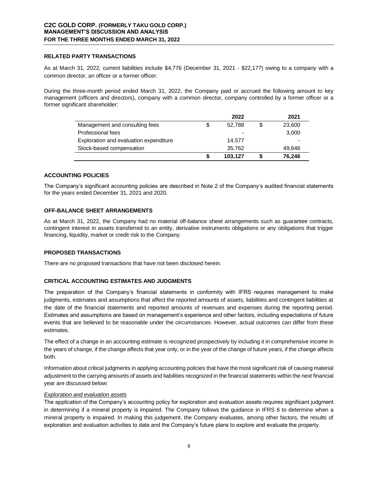## **RELATED PARTY TRANSACTIONS**

As at March 31, 2022, current liabilities include \$4,776 (December 31, 2021 - \$22,177) owing to a company with a common director, an officer or a former officer.

During the three-month period ended March 31, 2022, the Company paid or accrued the following amount to key management (officers and directors), company with a common director, company controlled by a former officer or a former significant shareholder:

|                                        |    | 2022    | 2021   |
|----------------------------------------|----|---------|--------|
| Management and consulting fees         | \$ | 52.788  | 23,600 |
| Professional fees                      |    |         | 3,000  |
| Exploration and evaluation expenditure |    | 14.577  |        |
| Stock-based compensation               |    | 35,762  | 49.646 |
|                                        | S  | 103.127 | 76.246 |

# **ACCOUNTING POLICIES**

The Company's significant accounting policies are described in Note 2 of the Company's audited financial statements for the years ended December 31, 2021 and 2020.

# **OFF-BALANCE SHEET ARRANGEMENTS**

As at March 31, 2022, the Company had no material off-balance sheet arrangements such as guarantee contracts, contingent interest in assets transferred to an entity, derivative instruments obligations or any obligations that trigger financing, liquidity, market or credit risk to the Company.

## **PROPOSED TRANSACTIONS**

There are no proposed transactions that have not been disclosed herein.

## **CRITICAL ACCOUNTING ESTIMATES AND JUDGMENTS**

The preparation of the Company's financial statements in conformity with IFRS requires management to make judgments, estimates and assumptions that affect the reported amounts of assets, liabilities and contingent liabilities at the date of the financial statements and reported amounts of revenues and expenses during the reporting period. Estimates and assumptions are based on management's experience and other factors, including expectations of future events that are believed to be reasonable under the circumstances. However, actual outcomes can differ from these estimates.

The effect of a change in an accounting estimate is recognized prospectively by including it in comprehensive income in the years of change, if the change affects that year only, or in the year of the change of future years, if the change affects both.

Information about critical judgments in applying accounting policies that have the most significant risk of causing material adjustment to the carrying amounts of assets and liabilities recognized in the financial statements within the next financial year are discussed below:

# *Exploration and evaluation assets*

The application of the Company's accounting policy for exploration and evaluation assets requires significant judgment in determining if a mineral property is impaired. The Company follows the guidance in IFRS 6 to determine when a mineral property is impaired. In making this judgement, the Company evaluates, among other factors, the results of exploration and evaluation activities to date and the Company's future plans to explore and evaluate the property.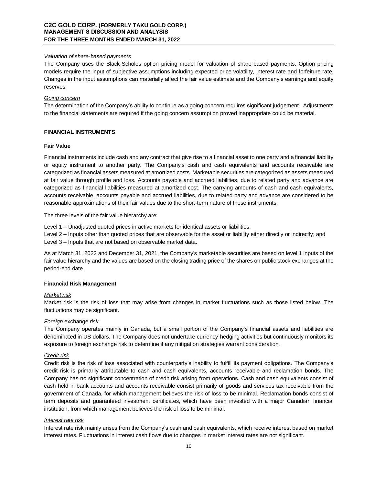## *Valuation of share-based payments*

The Company uses the Black-Scholes option pricing model for valuation of share-based payments. Option pricing models require the input of subjective assumptions including expected price volatility, interest rate and forfeiture rate. Changes in the input assumptions can materially affect the fair value estimate and the Company's earnings and equity reserves.

#### *Going concern*

The determination of the Company's ability to continue as a going concern requires significant judgement. Adjustments to the financial statements are required if the going concern assumption proved inappropriate could be material.

#### **FINANCIAL INSTRUMENTS**

#### **Fair Value**

Financial instruments include cash and any contract that give rise to a financial asset to one party and a financial liability or equity instrument to another party. The Company's cash and cash equivalents and accounts receivable are categorized as financial assets measured at amortized costs. Marketable securities are categorized as assets measured at fair value through profile and loss. Accounts payable and accrued liabilities, due to related party and advance are categorized as financial liabilities measured at amortized cost. The carrying amounts of cash and cash equivalents, accounts receivable, accounts payable and accrued liabilities, due to related party and advance are considered to be reasonable approximations of their fair values due to the short-term nature of these instruments.

The three levels of the fair value hierarchy are:

Level 1 – Unadjusted quoted prices in active markets for identical assets or liabilities;

Level 2 – Inputs other than quoted prices that are observable for the asset or liability either directly or indirectly; and Level 3 – Inputs that are not based on observable market data.

As at March 31, 2022 and December 31, 2021, the Company's marketable securities are based on level 1 inputs of the fair value hierarchy and the values are based on the closing trading price of the shares on public stock exchanges at the period-end date.

#### **Financial Risk Management**

#### *Market risk*

Market risk is the risk of loss that may arise from changes in market fluctuations such as those listed below. The fluctuations may be significant.

#### *Foreign* exchange *risk*

The Company operates mainly in Canada, but a small portion of the Company's financial assets and liabilities are denominated in US dollars. The Company does not undertake currency-hedging activities but continuously monitors its exposure to foreign exchange risk to determine if any mitigation strategies warrant consideration.

## *Credit risk*

Credit risk is the risk of loss associated with counterparty's inability to fulfill its payment obligations. The Company's credit risk is primarily attributable to cash and cash equivalents, accounts receivable and reclamation bonds. The Company has no significant concentration of credit risk arising from operations. Cash and cash equivalents consist of cash held in bank accounts and accounts receivable consist primarily of goods and services tax receivable from the government of Canada, for which management believes the risk of loss to be minimal. Reclamation bonds consist of term deposits and guaranteed investment certificates, which have been invested with a major Canadian financial institution, from which management believes the risk of loss to be minimal.

#### *Interest rate risk*

Interest rate risk mainly arises from the Company's cash and cash equivalents, which receive interest based on market interest rates. Fluctuations in interest cash flows due to changes in market interest rates are not significant.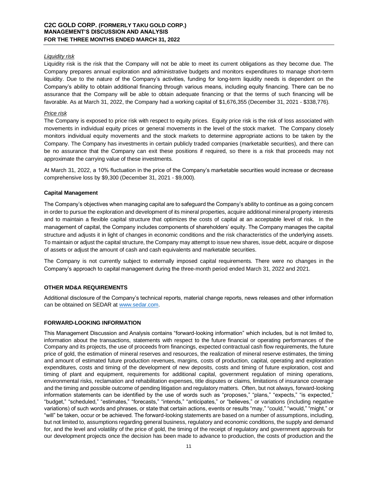## *Liquidity risk*

Liquidity risk is the risk that the Company will not be able to meet its current obligations as they become due. The Company prepares annual exploration and administrative budgets and monitors expenditures to manage short-term liquidity. Due to the nature of the Company's activities, funding for long-term liquidity needs is dependent on the Company's ability to obtain additional financing through various means, including equity financing. There can be no assurance that the Company will be able to obtain adequate financing or that the terms of such financing will be favorable. As at March 31, 2022, the Company had a working capital of \$1,676,355 (December 31, 2021 - \$338,776).

## *Price risk*

The Company is exposed to price risk with respect to equity prices. Equity price risk is the risk of loss associated with movements in individual equity prices or general movements in the level of the stock market. The Company closely monitors individual equity movements and the stock markets to determine appropriate actions to be taken by the Company. The Company has investments in certain publicly traded companies (marketable securities), and there can be no assurance that the Company can exit these positions if required, so there is a risk that proceeds may not approximate the carrying value of these investments.

At March 31, 2022, a 10% fluctuation in the price of the Company's marketable securities would increase or decrease comprehensive loss by \$9,300 (December 31, 2021 - \$9,000).

#### **Capital Management**

The Company's objectives when managing capital are to safeguard the Company's ability to continue as a going concern in order to pursue the exploration and development of its mineral properties, acquire additional mineral property interests and to maintain a flexible capital structure that optimizes the costs of capital at an acceptable level of risk. In the management of capital, the Company includes components of shareholders' equity. The Company manages the capital structure and adjusts it in light of changes in economic conditions and the risk characteristics of the underlying assets. To maintain or adjust the capital structure, the Company may attempt to issue new shares, issue debt, acquire or dispose of assets or adjust the amount of cash and cash equivalents and marketable securities.

The Company is not currently subject to externally imposed capital requirements. There were no changes in the Company's approach to capital management during the three-month period ended March 31, 2022 and 2021.

## **OTHER MD&A REQUIREMENTS**

Additional disclosure of the Company's technical reports, material change reports, news releases and other information can be obtained on SEDAR a[t www.sedar.com.](http://www.sedar.com/)

## **FORWARD-LOOKING INFORMATION**

This Management Discussion and Analysis contains "forward-looking information" which includes, but is not limited to, information about the transactions, statements with respect to the future financial or operating performances of the Company and its projects, the use of proceeds from financings, expected contractual cash flow requirements, the future price of gold, the estimation of mineral reserves and resources, the realization of mineral reserve estimates, the timing and amount of estimated future production revenues, margins, costs of production, capital, operating and exploration expenditures, costs and timing of the development of new deposits, costs and timing of future exploration, cost and timing of plant and equipment, requirements for additional capital, government regulation of mining operations, environmental risks, reclamation and rehabilitation expenses, title disputes or claims, limitations of insurance coverage and the timing and possible outcome of pending litigation and regulatory matters. Often, but not always, forward-looking information statements can be identified by the use of words such as "proposes," "plans," "expects," "is expected," "budget," "scheduled," "estimates," "forecasts," "intends," "anticipates," or "believes," or variations (including negative variations) of such words and phrases, or state that certain actions, events or results "may," "could," "would," "might," or "will" be taken, occur or be achieved. The forward-looking statements are based on a number of assumptions, including, but not limited to, assumptions regarding general business, regulatory and economic conditions, the supply and demand for, and the level and volatility of the price of gold, the timing of the receipt of regulatory and government approvals for our development projects once the decision has been made to advance to production, the costs of production and the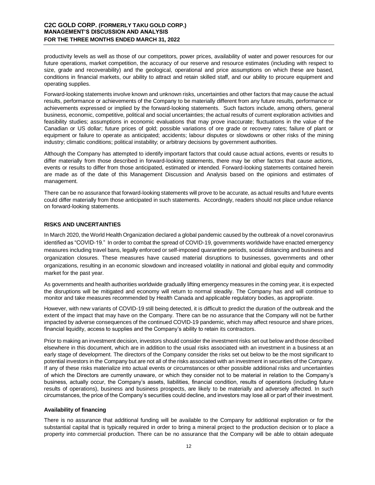# **C2C GOLD CORP. (FORMERLY TAKU GOLD CORP.) MANAGEMENT'S DISCUSSION AND ANALYSIS FOR THE THREE MONTHS ENDED MARCH 31, 2022**

productivity levels as well as those of our competitors, power prices, availability of water and power resources for our future operations, market competition, the accuracy of our reserve and resource estimates (including with respect to size, grade and recoverability) and the geological, operational and price assumptions on which these are based, conditions in financial markets, our ability to attract and retain skilled staff, and our ability to procure equipment and operating supplies.

Forward-looking statements involve known and unknown risks, uncertainties and other factors that may cause the actual results, performance or achievements of the Company to be materially different from any future results, performance or achievements expressed or implied by the forward-looking statements. Such factors include, among others, general business, economic, competitive, political and social uncertainties; the actual results of current exploration activities and feasibility studies; assumptions in economic evaluations that may prove inaccurate; fluctuations in the value of the Canadian or US dollar; future prices of gold; possible variations of ore grade or recovery rates; failure of plant or equipment or failure to operate as anticipated; accidents; labour disputes or slowdowns or other risks of the mining industry; climatic conditions; political instability; or arbitrary decisions by government authorities.

Although the Company has attempted to identify important factors that could cause actual actions, events or results to differ materially from those described in forward-looking statements, there may be other factors that cause actions, events or results to differ from those anticipated, estimated or intended. Forward-looking statements contained herein are made as of the date of this Management Discussion and Analysis based on the opinions and estimates of management.

There can be no assurance that forward-looking statements will prove to be accurate, as actual results and future events could differ materially from those anticipated in such statements. Accordingly, readers should not place undue reliance on forward-looking statements.

## **RISKS AND UNCERTAINTIES**

In March 2020, the World Health Organization declared a global pandemic caused by the outbreak of a novel coronavirus identified as "COVID-19." In order to combat the spread of COVID-19, governments worldwide have enacted emergency measures including travel bans, legally enforced or self-imposed quarantine periods, social distancing and business and organization closures. These measures have caused material disruptions to businesses, governments and other organizations, resulting in an economic slowdown and increased volatility in national and global equity and commodity market for the past year.

As governments and health authorities worldwide gradually lifting emergency measures in the coming year, it is expected the disruptions will be mitigated and economy will return to normal steadily. The Company has and will continue to monitor and take measures recommended by Health Canada and applicable regulatory bodies, as appropriate.

However, with new variants of COVID-19 still being detected, it is difficult to predict the duration of the outbreak and the extent of the impact that may have on the Company. There can be no assurance that the Company will not be further impacted by adverse consequences of the continued COVID-19 pandemic, which may affect resource and share prices, financial liquidity, access to supplies and the Company's ability to retain its contractors.

Prior to making an investment decision, investors should consider the investment risks set out below and those described elsewhere in this document, which are in addition to the usual risks associated with an investment in a business at an early stage of development. The directors of the Company consider the risks set out below to be the most significant to potential investors in the Company but are not all of the risks associated with an investment in securities of the Company. If any of these risks materialize into actual events or circumstances or other possible additional risks and uncertainties of which the Directors are currently unaware, or which they consider not to be material in relation to the Company's business, actually occur, the Company's assets, liabilities, financial condition, results of operations (including future results of operations), business and business prospects, are likely to be materially and adversely affected. In such circumstances, the price of the Company's securities could decline, and investors may lose all or part of their investment.

#### **Availability of financing**

There is no assurance that additional funding will be available to the Company for additional exploration or for the substantial capital that is typically required in order to bring a mineral project to the production decision or to place a property into commercial production. There can be no assurance that the Company will be able to obtain adequate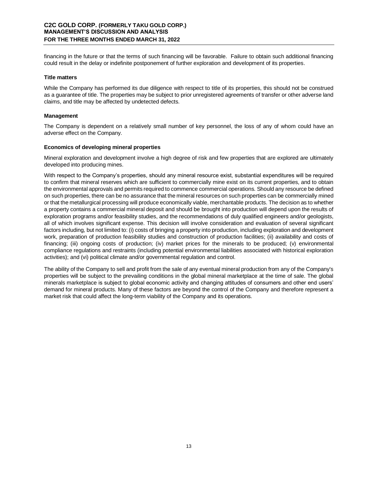financing in the future or that the terms of such financing will be favorable. Failure to obtain such additional financing could result in the delay or indefinite postponement of further exploration and development of its properties.

#### **Title matters**

While the Company has performed its due diligence with respect to title of its properties, this should not be construed as a guarantee of title. The properties may be subject to prior unregistered agreements of transfer or other adverse land claims, and title may be affected by undetected defects.

#### **Management**

The Company is dependent on a relatively small number of key personnel, the loss of any of whom could have an adverse effect on the Company.

#### **Economics of developing mineral properties**

Mineral exploration and development involve a high degree of risk and few properties that are explored are ultimately developed into producing mines.

With respect to the Company's properties, should any mineral resource exist, substantial expenditures will be required to confirm that mineral reserves which are sufficient to commercially mine exist on its current properties, and to obtain the environmental approvals and permits required to commence commercial operations. Should any resource be defined on such properties, there can be no assurance that the mineral resources on such properties can be commercially mined or that the metallurgical processing will produce economically viable, merchantable products. The decision as to whether a property contains a commercial mineral deposit and should be brought into production will depend upon the results of exploration programs and/or feasibility studies, and the recommendations of duly qualified engineers and/or geologists, all of which involves significant expense. This decision will involve consideration and evaluation of several significant factors including, but not limited to: (i) costs of bringing a property into production, including exploration and development work, preparation of production feasibility studies and construction of production facilities; (ii) availability and costs of financing; (iii) ongoing costs of production; (iv) market prices for the minerals to be produced; (v) environmental compliance regulations and restraints (including potential environmental liabilities associated with historical exploration activities); and (vi) political climate and/or governmental regulation and control.

The ability of the Company to sell and profit from the sale of any eventual mineral production from any of the Company's properties will be subject to the prevailing conditions in the global mineral marketplace at the time of sale. The global minerals marketplace is subject to global economic activity and changing attitudes of consumers and other end users' demand for mineral products. Many of these factors are beyond the control of the Company and therefore represent a market risk that could affect the long-term viability of the Company and its operations.